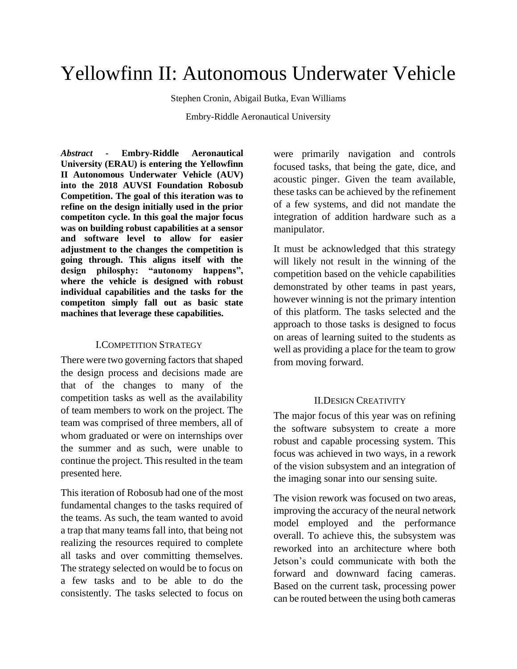# Yellowfinn II: Autonomous Underwater Vehicle

Stephen Cronin, Abigail Butka, Evan Williams

Embry-Riddle Aeronautical University

*Abstract -* **Embry-Riddle Aeronautical University (ERAU) is entering the Yellowfinn II Autonomous Underwater Vehicle (AUV) into the 2018 AUVSI Foundation Robosub Competition. The goal of this iteration was to refine on the design initially used in the prior competiton cycle. In this goal the major focus was on building robust capabilities at a sensor and software level to allow for easier adjustment to the changes the competition is going through. This aligns itself with the design philosphy: "autonomy happens", where the vehicle is designed with robust individual capabilities and the tasks for the competiton simply fall out as basic state machines that leverage these capabilities.**

#### I.COMPETITION STRATEGY

There were two governing factors that shaped the design process and decisions made are that of the changes to many of the competition tasks as well as the availability of team members to work on the project. The team was comprised of three members, all of whom graduated or were on internships over the summer and as such, were unable to continue the project. This resulted in the team presented here.

This iteration of Robosub had one of the most fundamental changes to the tasks required of the teams. As such, the team wanted to avoid a trap that many teams fall into, that being not realizing the resources required to complete all tasks and over committing themselves. The strategy selected on would be to focus on a few tasks and to be able to do the consistently. The tasks selected to focus on

were primarily navigation and controls focused tasks, that being the gate, dice, and acoustic pinger. Given the team available, these tasks can be achieved by the refinement of a few systems, and did not mandate the integration of addition hardware such as a manipulator.

It must be acknowledged that this strategy will likely not result in the winning of the competition based on the vehicle capabilities demonstrated by other teams in past years, however winning is not the primary intention of this platform. The tasks selected and the approach to those tasks is designed to focus on areas of learning suited to the students as well as providing a place for the team to grow from moving forward.

## II.DESIGN CREATIVITY

The major focus of this year was on refining the software subsystem to create a more robust and capable processing system. This focus was achieved in two ways, in a rework of the vision subsystem and an integration of the imaging sonar into our sensing suite.

The vision rework was focused on two areas, improving the accuracy of the neural network model employed and the performance overall. To achieve this, the subsystem was reworked into an architecture where both Jetson's could communicate with both the forward and downward facing cameras. Based on the current task, processing power can be routed between the using both cameras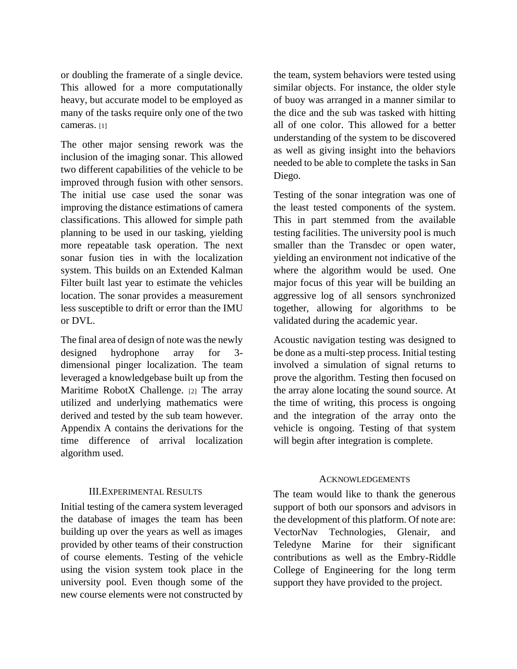or doubling the framerate of a single device. This allowed for a more computationally heavy, but accurate model to be employed as many of the tasks require only one of the two cameras. [1]

The other major sensing rework was the inclusion of the imaging sonar. This allowed two different capabilities of the vehicle to be improved through fusion with other sensors. The initial use case used the sonar was improving the distance estimations of camera classifications. This allowed for simple path planning to be used in our tasking, yielding more repeatable task operation. The next sonar fusion ties in with the localization system. This builds on an Extended Kalman Filter built last year to estimate the vehicles location. The sonar provides a measurement less susceptible to drift or error than the IMU or DVL.

The final area of design of note was the newly designed hydrophone array for 3 dimensional pinger localization. The team leveraged a knowledgebase built up from the Maritime RobotX Challenge. [2] The array utilized and underlying mathematics were derived and tested by the sub team however. Appendix A contains the derivations for the time difference of arrival localization algorithm used.

# III.EXPERIMENTAL RESULTS

Initial testing of the camera system leveraged the database of images the team has been building up over the years as well as images provided by other teams of their construction of course elements. Testing of the vehicle using the vision system took place in the university pool. Even though some of the new course elements were not constructed by

the team, system behaviors were tested using similar objects. For instance, the older style of buoy was arranged in a manner similar to the dice and the sub was tasked with hitting all of one color. This allowed for a better understanding of the system to be discovered as well as giving insight into the behaviors needed to be able to complete the tasks in San Diego.

Testing of the sonar integration was one of the least tested components of the system. This in part stemmed from the available testing facilities. The university pool is much smaller than the Transdec or open water, yielding an environment not indicative of the where the algorithm would be used. One major focus of this year will be building an aggressive log of all sensors synchronized together, allowing for algorithms to be validated during the academic year.

Acoustic navigation testing was designed to be done as a multi-step process. Initial testing involved a simulation of signal returns to prove the algorithm. Testing then focused on the array alone locating the sound source. At the time of writing, this process is ongoing and the integration of the array onto the vehicle is ongoing. Testing of that system will begin after integration is complete.

## **ACKNOWLEDGEMENTS**

The team would like to thank the generous support of both our sponsors and advisors in the development of this platform. Of note are: VectorNav Technologies, Glenair, and Teledyne Marine for their significant contributions as well as the Embry-Riddle College of Engineering for the long term support they have provided to the project.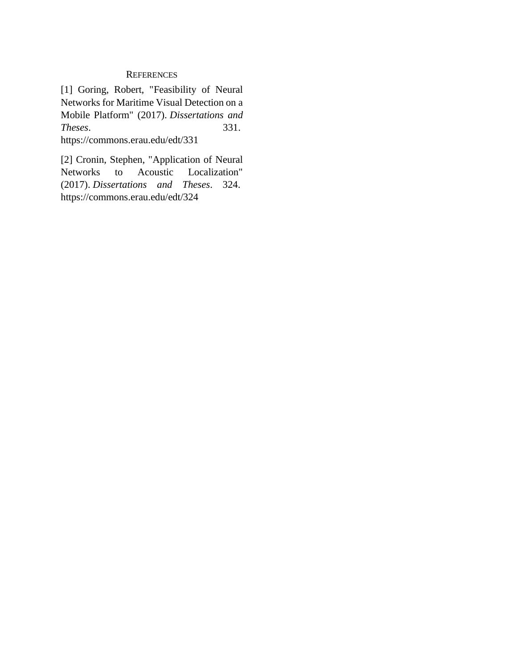# **REFERENCES**

[1] Goring, Robert, "Feasibility of Neural Networks for Maritime Visual Detection on a Mobile Platform" (2017). *Dissertations and Theses*. 331. https://commons.erau.edu/edt/331

[2] Cronin, Stephen, "Application of Neural Networks to Acoustic Localization" (2017). *Dissertations and Theses*. 324. https://commons.erau.edu/edt/324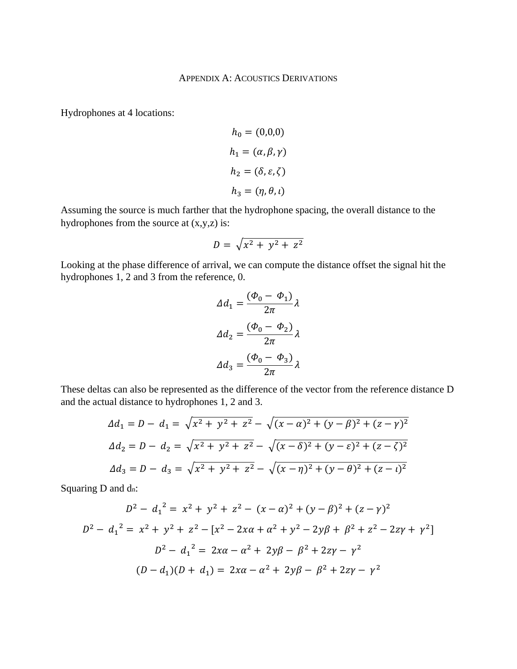Hydrophones at 4 locations:

$$
h_0 = (0,0,0)
$$
  
\n
$$
h_1 = (\alpha, \beta, \gamma)
$$
  
\n
$$
h_2 = (\delta, \varepsilon, \zeta)
$$
  
\n
$$
h_3 = (\eta, \theta, \iota)
$$

Assuming the source is much farther that the hydrophone spacing, the overall distance to the hydrophones from the source at (x,y,z) is:

$$
D = \sqrt{x^2 + y^2 + z^2}
$$

Looking at the phase difference of arrival, we can compute the distance offset the signal hit the hydrophones 1, 2 and 3 from the reference, 0.

$$
\Delta d_1 = \frac{(\Phi_0 - \Phi_1)}{2\pi} \lambda
$$

$$
\Delta d_2 = \frac{(\Phi_0 - \Phi_2)}{2\pi} \lambda
$$

$$
\Delta d_3 = \frac{(\Phi_0 - \Phi_3)}{2\pi} \lambda
$$

These deltas can also be represented as the difference of the vector from the reference distance D and the actual distance to hydrophones 1, 2 and 3.

$$
\Delta d_1 = D - d_1 = \sqrt{x^2 + y^2 + z^2} - \sqrt{(x - \alpha)^2 + (y - \beta)^2 + (z - \gamma)^2}
$$
  

$$
\Delta d_2 = D - d_2 = \sqrt{x^2 + y^2 + z^2} - \sqrt{(x - \delta)^2 + (y - \varepsilon)^2 + (z - \zeta)^2}
$$
  

$$
\Delta d_3 = D - d_3 = \sqrt{x^2 + y^2 + z^2} - \sqrt{(x - \eta)^2 + (y - \theta)^2 + (z - \iota)^2}
$$

Squaring D and dn:

$$
D^{2} - d_{1}^{2} = x^{2} + y^{2} + z^{2} - (x - \alpha)^{2} + (y - \beta)^{2} + (z - \gamma)^{2}
$$
  
\n
$$
D^{2} - d_{1}^{2} = x^{2} + y^{2} + z^{2} - [x^{2} - 2x\alpha + \alpha^{2} + y^{2} - 2y\beta + \beta^{2} + z^{2} - 2z\gamma + \gamma^{2}]
$$
  
\n
$$
D^{2} - d_{1}^{2} = 2x\alpha - \alpha^{2} + 2y\beta - \beta^{2} + 2z\gamma - \gamma^{2}
$$
  
\n
$$
(D - d_{1})(D + d_{1}) = 2x\alpha - \alpha^{2} + 2y\beta - \beta^{2} + 2z\gamma - \gamma^{2}
$$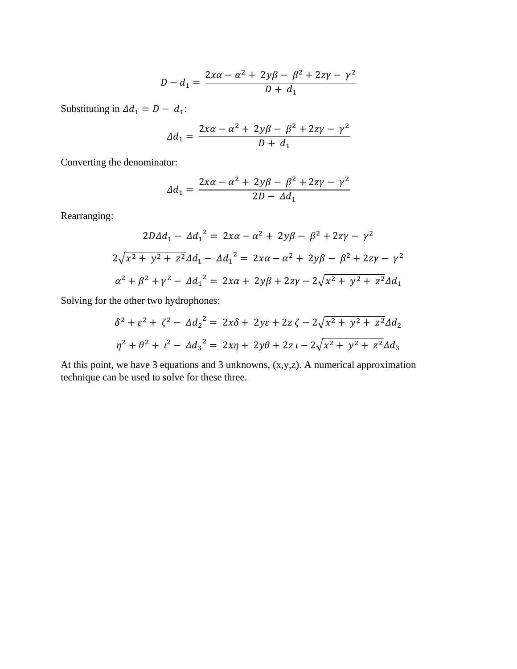$$
D - d_1 = \frac{2x\alpha - \alpha^2 + 2y\beta - \beta^2 + 2z\gamma - \gamma^2}{D + d_1}
$$

Substituting in  $\Delta d_1 = D - d_1$ :

$$
\Delta d_1 = \frac{2x\alpha - \alpha^2 + 2y\beta - \beta^2 + 2z\gamma - \gamma^2}{D + d_1}
$$

Converting the denominator:

$$
\Delta d_1 = \frac{2x\alpha - \alpha^2 + 2y\beta - \beta^2 + 2z\gamma - \gamma^2}{2D - \Delta d_1}
$$

Rearranging:

$$
2D\Delta d_1 - \Delta d_1^2 = 2x\alpha - \alpha^2 + 2y\beta - \beta^2 + 2z\gamma - \gamma^2
$$
  

$$
2\sqrt{x^2 + y^2 + z^2}\Delta d_1 - \Delta d_1^2 = 2x\alpha - \alpha^2 + 2y\beta - \beta^2 + 2z\gamma - \gamma^2
$$
  

$$
\alpha^2 + \beta^2 + \gamma^2 - \Delta d_1^2 = 2x\alpha + 2y\beta + 2z\gamma - 2\sqrt{x^2 + y^2 + z^2}\Delta d_1
$$

Solving for the other two hydrophones:

$$
\delta^{2} + \varepsilon^{2} + \zeta^{2} - 4d_{2}^{2} = 2x\delta + 2y\varepsilon + 2z\zeta - 2\sqrt{x^{2} + y^{2} + z^{2}}\Delta d_{2}
$$
  

$$
\eta^{2} + \theta^{2} + t^{2} - 4d_{3}^{2} = 2x\eta + 2y\theta + 2z - 2\sqrt{x^{2} + y^{2} + z^{2}}\Delta d_{3}
$$

At this point, we have 3 equations and 3 unknowns, (x,y,z). A numerical approximation technique can be used to solve for these three.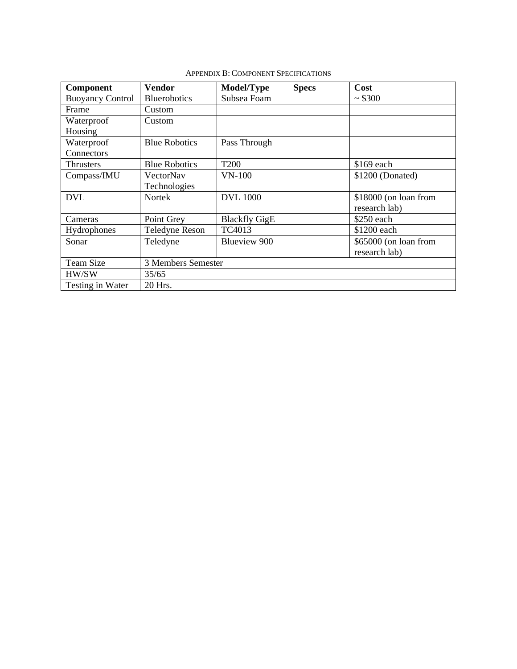| <b>Component</b>        | Vendor                | Model/Type           | <b>Specs</b> | Cost                  |
|-------------------------|-----------------------|----------------------|--------------|-----------------------|
| <b>Buoyancy Control</b> | <b>Bluerobotics</b>   | Subsea Foam          |              | ~5300                 |
| Frame                   | Custom                |                      |              |                       |
| Waterproof              | Custom                |                      |              |                       |
| Housing                 |                       |                      |              |                       |
| Waterproof              | <b>Blue Robotics</b>  | Pass Through         |              |                       |
| Connectors              |                       |                      |              |                       |
| Thrusters               | <b>Blue Robotics</b>  | T <sub>200</sub>     |              | \$169 each            |
| Compass/IMU             | VectorNav             | $VN-100$             |              | $$1200$ (Donated)     |
|                         | Technologies          |                      |              |                       |
| <b>DVL</b>              | Nortek                | <b>DVL</b> 1000      |              | \$18000 (on loan from |
|                         |                       |                      |              | research lab)         |
| Cameras                 | Point Grey            | <b>Blackfly GigE</b> |              | \$250 each            |
| Hydrophones             | <b>Teledyne Reson</b> | TC4013               |              | \$1200 each           |
| Sonar                   | Teledyne              | Blueview 900         |              | \$65000 (on loan from |
|                         |                       |                      |              | research lab)         |
| <b>Team Size</b>        | 3 Members Semester    |                      |              |                       |
| HW/SW                   | 35/65                 |                      |              |                       |
| Testing in Water        | 20 Hrs.               |                      |              |                       |

APPENDIX B: COMPONENT SPECIFICATIONS